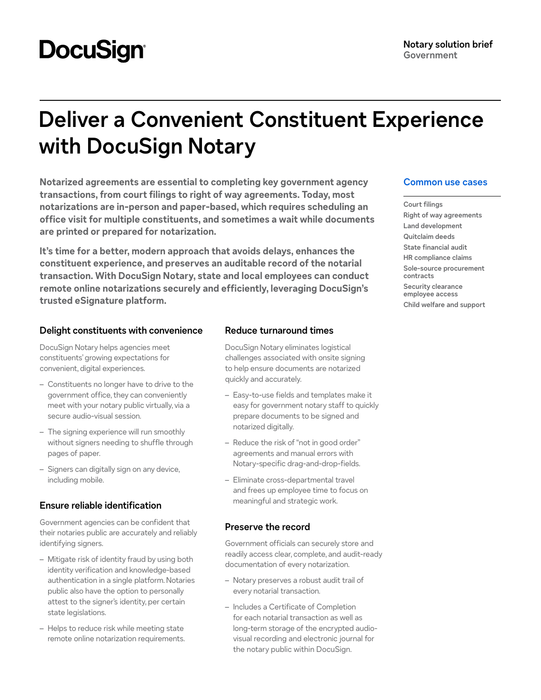# **DocuSign®**

## **Deliver a Convenient Constituent Experience with DocuSign Notary**

**Notarized agreements are essential to completing key government agency transactions, from court filings to right of way agreements. Today, most notarizations are in-person and paper-based, which requires scheduling an office visit for multiple constituents, and sometimes a wait while documents are printed or prepared for notarization.** 

**It's time for a better, modern approach that avoids delays, enhances the constituent experience, and preserves an auditable record of the notarial transaction. With DocuSign Notary, state and local employees can conduct remote online notarizations securely and efficiently, leveraging DocuSign's trusted eSignature platform.**

### **Delight constituents with convenience**

DocuSign Notary helps agencies meet constituents' growing expectations for convenient, digital experiences.

- Constituents no longer have to drive to the government office, they can conveniently meet with your notary public virtually, via a secure audio-visual session.
- The signing experience will run smoothly without signers needing to shuffle through pages of paper.
- Signers can digitally sign on any device, including mobile.

### **Ensure reliable identification**

Government agencies can be confident that their notaries public are accurately and reliably identifying signers.

- Mitigate risk of identity fraud by using both identity verification and knowledge-based authentication in a single platform. Notaries public also have the option to personally attest to the signer's identity, per certain state legislations.
- Helps to reduce risk while meeting state remote online notarization requirements.

### **Reduce turnaround times**

DocuSign Notary eliminates logistical challenges associated with onsite signing to help ensure documents are notarized quickly and accurately.

- Easy-to-use fields and templates make it easy for government notary staff to quickly prepare documents to be signed and notarized digitally.
- Reduce the risk of "not in good order" agreements and manual errors with Notary-specific drag-and-drop-fields.
- Eliminate cross-departmental travel and frees up employee time to focus on meaningful and strategic work.

### **Preserve the record**

Government officials can securely store and readily access clear, complete, and audit-ready documentation of every notarization.

- Notary preserves a robust audit trail of every notarial transaction.
- Includes a Certificate of Completion for each notarial transaction as well as long-term storage of the encrypted audiovisual recording and electronic journal for the notary public within DocuSign.

### **Common use cases**

**Court filings Right of way agreements Land development Quitclaim deeds State financial audit HR compliance claims Sole-source procurement contracts Security clearance employee access Child welfare and support**